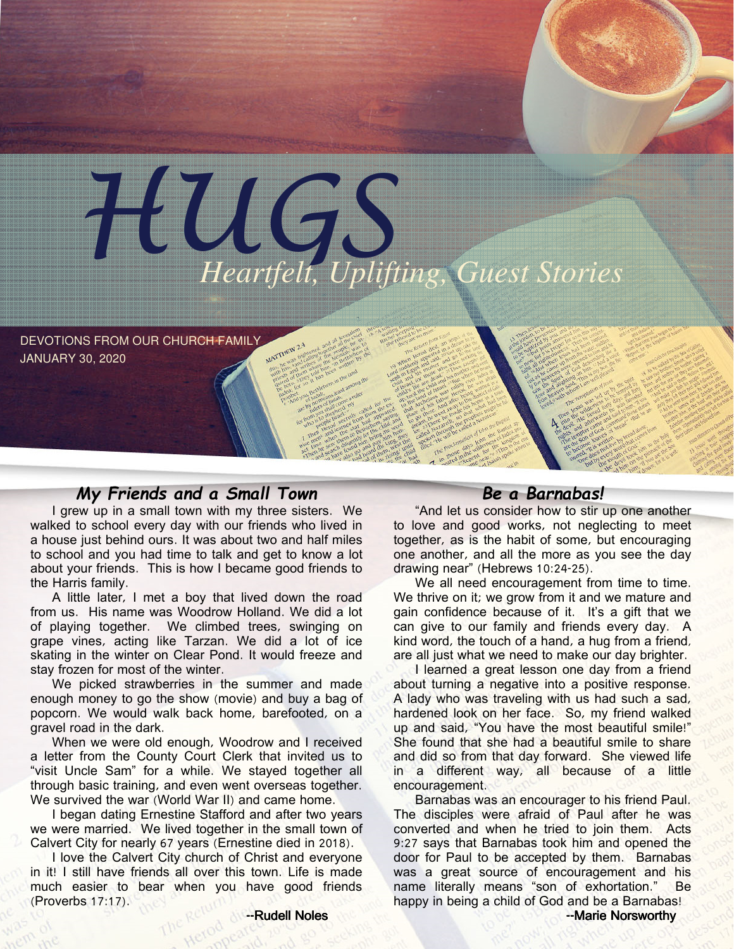

DEVOTIONS FROM OUR CHURCH FAMILY JANUARY 30, 2020

### My Friends and a Small Town

I grew up in a small town with my three sisters. We walked to school every day with our friends who lived in a house just behind ours. It was about two and half miles to school and you had time to talk and get to know a lot about your friends. This is how I became good friends to the Harris family.

A little later, I met a boy that lived down the road from us. His name was Woodrow Holland. We did a lot of playing together. We climbed trees, swinging on grape vines, acting like Tarzan. We did a lot of ice skating in the winter on Clear Pond. It would freeze and stay frozen for most of the winter.

We picked strawberries in the summer and made enough money to go the show (movie) and buy a bag of popcorn. We would walk back home, barefooted, on a gravel road in the dark.

When we were old enough, Woodrow and I received a letter from the County Court Clerk that invited us to "visit Uncle Sam" for a while. We stayed together all through basic training, and even went overseas together. We survived the war (World War II) and came home.

I began dating Ernestine Stafford and after two years we were married. We lived together in the small town of Calvert City for nearly 67 years (Ernestine died in 2018).

I love the Calvert City church of Christ and everyone in it! I still have friends all over this town. Life is made much easier to bear when you have good friends (Proverbs 17:17).

### Be a Barnabas!

"And let us consider how to stir up one another to love and good works, not neglecting to meet together, as is the habit of some, but encouraging one another, and all the more as you see the day drawing near" (Hebrews 10:24-25).

We all need encouragement from time to time. We thrive on it; we grow from it and we mature and gain confidence because of it. It's a gift that we can give to our family and friends every day. A kind word, the touch of a hand, a hug from a friend, are all just what we need to make our day brighter.

I learned a great lesson one day from a friend about turning a negative into a positive response. A lady who was traveling with us had such a sad, hardened look on her face. So, my friend walked up and said, "You have the most beautiful smile!" She found that she had a beautiful smile to share and did so from that day forward. She viewed life in a different way, all because of a little encouragement.

Barnabas was an encourager to his friend Paul. The disciples were afraid of Paul after he was converted and when he tried to join them. Acts 9:27 says that Barnabas took him and opened the door for Paul to be accepted by them. Barnabas was a great source of encouragement and his name literally means "son of exhortation." Be happy in being a child of God and be a Barnabas!